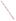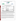# **THE ENVIRONMENTAL TECHNOLOGY VERIFICATION**





**Battelle** The Business of Innovation

# **ETV Joint Verification Statement**

|                                                 | TECHNOLOGY TYPE: IMMUNOASSAY TEST KITS                  |      |                     |  |
|-------------------------------------------------|---------------------------------------------------------|------|---------------------|--|
| <b>APPLICATION:</b>                             | DETECTING ANTHRAX, BOTULINUM TOXIN, AND<br><b>RICIN</b> |      |                     |  |
| TECHNOLOGY NAME: BADD <sup>TM</sup> Test Strips |                                                         |      |                     |  |
| <b>COMPANY:</b>                                 | <b>ADVNT Biotechnologies</b>                            |      |                     |  |
| <b>ADDRESS:</b>                                 | P.O. Box 870                                            |      | PHONE: 928-368-2804 |  |
|                                                 | 1920 W. Commerce Drive                                  | FAX: | 928-368-2808        |  |
|                                                 | Lakeside, Arizona 85929                                 |      |                     |  |
| <b>WEB SITE:</b>                                | www.baddbox.com                                         |      |                     |  |
| E-MAIL:                                         | support@baddbox.com                                     |      |                     |  |

The U.S. Environmental Protection Agency (EPA) supports the Environmental Technology Verification (ETV) Program to facilitate the deployment of innovative or improved environmental technologies through performance verification and dissemination of information. The goal of the ETV Program is to further environmental protection by accelerating the acceptance and use of improved and cost-effective technologies. ETV seeks to achieve this goal by providing high-quality, peer-reviewed data on technology performance to those involved in the design, distribution, financing, permitting, purchase, and use of environmental technologies. Information and ETV documents are available at www.epa.gov/etv.

ETV works in partnership with recognized standards and testing organizations, with stakeholder groups (consisting of buyers, vendor organizations, and permitters), and with individual technology developers. The program evaluates the performance of innovative technologies by developing test plans that are responsive to the needs of stakeholders, conducting field or laboratory tests (as appropriate), collecting and analyzing data, and preparing peer-reviewed reports. All evaluations are conducted in accordance with rigorous quality assurance (QA) protocols to ensure that data of known and adequate quality are generated and that the results are defensible.

The Advanced Monitoring Systems (AMS) Center, one of six verification centers under ETV, is operated by Battelle in cooperation with EPA's National Exposure Research Laboratory. The AMS Center has recently evaluated the performance of immunoassay test kits used to detect anthrax, botulinum toxin, and ricin. This verification statement provides a summary of the test results for the ADVNT Biotechnologies Biowarfare Agent Detection Device (BADD™) test strips.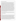# **VERIFICATION TEST DESCRIPTION**

The ability of the BADD™ test strips to individually detect various concentrations of anthrax spores, botulinum toxin, and ricin was evaluated between January 14 and April 23, 2004, by analyzing performance test (PT) and drinking water (DW) samples. PT samples included deionized (DI) water fortified with either the target contaminant, an interferent, both, or only a cross-reactive species. In addition to the PT and DW samples analyzed, method blank (MB) samples consisting of DI water also were analyzed to confirm negative responses in the absence of contaminants and to ensure that no sources of contamination were introduced during the analysis procedures. MB samples were analyzed by both a trained technician and a non-technical/untrained, first-time user at a non-laboratory location to evaluate the BADD™ performance and ease of use outside of the laboratory. The test strips generated either positive or negative qualitative results. Verification test results showed how effective the BADD™ test strips were at detecting the presence of each contaminant at several concentration levels, the consistency of the responses, and the susceptibility of the BADD<sup>™</sup> test strips to selected interferents and crossreactive species. In most cases, three replicates of each PT and DW sample were analyzed to evaluate the reproducibility of the BADD<sup>™</sup> test strip results. Approximately 120 liters  $(L)$  of four DW samples were collected from geographically distributed municipal sources located in Florida (FL), New York (NY), Ohio (OH), and California (CA). These samples were dechlorinated with sodium thiosulfate, and then 100 L of each sample were concentrated using an ultra-filtration technique to a final volume of 250 milliliters (mL). Each DW sample (nonconcentrated and concentrated) was analyzed without adding any contaminant, as well as after fortification with individual contaminants at a single concentration level to evaluate the effect of the DW matrix on the performance of the BADD<sup>TM</sup> test strips. During the anthrax spore PT sample analysis, the lowest detectable concentration of the BADD<sup>TM</sup> test strips was shown to be much higher than claimed by the vendor. Therefore, three preparations of spores were analyzed to further investigate these results. The three preparations included spores prepared at Battelle and preserved in a solution of water and phenol, spores prepared at Battelle and not preserved in phenol, and spores prepared at Dugway Proving Ground and stored in spent culture media. Most of the samples analyzed were made from the Battelle-prepared, phenol-preserved spores. The other two preparations were used to determine if the phenol preservation or the preparation technique was negatively affecting the sensitivity of the BADD<sup>TM</sup> test strips. Solutions of vegetative anthrax cells also were analyzed to determine the sensitivity of the BADD<sup>TM</sup> test strips to vegetative anthrax cells.

QA oversight of verification testing was provided by Battelle and EPA. Battelle QA staff conducted a technical systems audit and a data quality audit of 10% of the test data. This verification statement, the full report on which it is based, and the test/QA plan for this verification are all available at www.epa.gov/etv/centers/center1.html.

# **TECHNOLOGY DESCRIPTION**

The following description of BADD™ test strips was provided by the vendor and was not subjected to verification in this test.

BADD™ test strips are self-contained, qualitative assays for screening environmental samples for the presence of anthrax, botulinum toxin, and ricin. These test strips work on similar principles, but each is single use and can detect only one contaminant. The BADD™ test strips are stored in resealable packages, which include all the items necessary to analyze each sample. Each individually packaged test includes approximately 250 microliters ( $\mu$ L) of buffer in a small plastic screw-top vial, a sample collection swab, a bulb syringe, the test strip (within its own sealed package), and step-by-step instructions. This package is approximately 5 inches (12.7 centimeters) by 6 inches (15.2 centimeters) and weighs only a few ounces. The vendor suggests that the resealable package be used as a sealed waste receptacle for all testing materials. The testing procedure involves dipping the dry collection swab into a solution suspected of containing anthrax, botulinum toxin, or ricin, followed by eluting (extracting) the collected sample into a collection tube containing a sample diluent. After the sample is collected, it is transferred onto the BADD™ test strip where dye-labeled antibodies detect trace amounts of the contaminant collected by the swab, as indicated by the presence of two bands in the test result window. After 15 minutes, the results are read visually. BADD™ test strips are sold in boxes of 10 for approximately \$250 per box.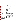# **VERIFICATION OF PERFORMANCE**

The tables below summarize the performance of the BADD™ test strips in detecting anthrax, botulinum toxin, and ricin.

# **Anthrax Summary Table**

| <b>Parameter</b>                                                                                                                                                                                                                                                                                                                                                                                                                                                                                                                                      |                                 | <b>Sample Information</b>                                                                                                                       | <b>Actual Fortified Anthrax</b><br>Concentration <sup>(a)</sup> | <b>Positive Results Out</b><br>of Total Replicates |
|-------------------------------------------------------------------------------------------------------------------------------------------------------------------------------------------------------------------------------------------------------------------------------------------------------------------------------------------------------------------------------------------------------------------------------------------------------------------------------------------------------------------------------------------------------|---------------------------------|-------------------------------------------------------------------------------------------------------------------------------------------------|-----------------------------------------------------------------|----------------------------------------------------|
|                                                                                                                                                                                                                                                                                                                                                                                                                                                                                                                                                       |                                 | Battelle-prepared, phenol-<br>preserved spores                                                                                                  | $8 \times 10^8$ spores/mL                                       | 3/3                                                |
|                                                                                                                                                                                                                                                                                                                                                                                                                                                                                                                                                       |                                 |                                                                                                                                                 | $8 \times 10^7$ spores/mL                                       | 3/3                                                |
|                                                                                                                                                                                                                                                                                                                                                                                                                                                                                                                                                       | Contaminant-<br>only PT samples |                                                                                                                                                 | $4 \times 10^7$ spores/mL                                       | 2/3                                                |
|                                                                                                                                                                                                                                                                                                                                                                                                                                                                                                                                                       |                                 |                                                                                                                                                 | $8 \times 10^6$ spores/mL                                       | 0/3                                                |
|                                                                                                                                                                                                                                                                                                                                                                                                                                                                                                                                                       |                                 |                                                                                                                                                 | $8\times10^5$ spores/mL                                         | 0/3                                                |
|                                                                                                                                                                                                                                                                                                                                                                                                                                                                                                                                                       |                                 | Vegetative cells                                                                                                                                | $4 \times 10^6$ colony-forming<br>units (cfu)/mL                | 1/1                                                |
|                                                                                                                                                                                                                                                                                                                                                                                                                                                                                                                                                       |                                 |                                                                                                                                                 | $3 \times 10^5$ cfu/mL                                          | 2/3                                                |
| Qualitative                                                                                                                                                                                                                                                                                                                                                                                                                                                                                                                                           |                                 |                                                                                                                                                 | $3 \times 10^4$ cfu/mL                                          | 0/1                                                |
| contaminant                                                                                                                                                                                                                                                                                                                                                                                                                                                                                                                                           |                                 |                                                                                                                                                 | $8 \times 10^7$ spores/mL                                       | 3/3                                                |
| results                                                                                                                                                                                                                                                                                                                                                                                                                                                                                                                                               |                                 | Dugway-prepared spores                                                                                                                          | $8 \times 10^6$ spores/mL                                       | 0/1                                                |
|                                                                                                                                                                                                                                                                                                                                                                                                                                                                                                                                                       | Interferent<br>PT samples       | 230 mg/L Calcium (Ca)<br>90 mg/L Magnesium (Mg)                                                                                                 | $1 \times 10^8$ spores/mL <sup>(b)</sup>                        | 3/3                                                |
|                                                                                                                                                                                                                                                                                                                                                                                                                                                                                                                                                       |                                 | 2.5 mg/L humic acid<br>2.5 mg/L fulvic acid                                                                                                     | $1 \times 10^8$ spores/mL <sup>(b)</sup>                        | 3/3                                                |
|                                                                                                                                                                                                                                                                                                                                                                                                                                                                                                                                                       | DW samples                      | Concentrated CA                                                                                                                                 | $1 \times 10^8$ spores/mL <sup>(b)</sup>                        | 3/3                                                |
|                                                                                                                                                                                                                                                                                                                                                                                                                                                                                                                                                       |                                 | <b>Concentrated NY</b>                                                                                                                          | $1 \times 10^8$ spores/mL <sup>(b)</sup>                        | 2/3                                                |
|                                                                                                                                                                                                                                                                                                                                                                                                                                                                                                                                                       |                                 | Unconcentrated DW                                                                                                                               | $1 \times 10^7$ spores/mL <sup>(b)</sup>                        | 0/24                                               |
|                                                                                                                                                                                                                                                                                                                                                                                                                                                                                                                                                       | Cross-reactivity                | $5 \times 10^5$ spores/mL<br><b>Bacillus</b> thuringiensis                                                                                      | unspiked                                                        | 0/3                                                |
| No false positives resulted from the analysis of the interferent, DW, or cross-<br>reactivity samples. Bacillus thuringiensis was prepared at concentrations much<br>lower than the lowest detectable concentration of Bacillus anthracis. Therefore,<br>False positives<br>negative results with these samples do not necessarily indicate a lack of cross-<br>reactivity.                                                                                                                                                                           |                                 |                                                                                                                                                 |                                                                 |                                                    |
| One false negative replicate resulted from the analysis of the interferent and DW<br>samples spiked with detectable levels of anthrax spores (concentrated NY DW); the<br>BADD <sup>TM</sup> test strips were not able to detect anthrax spores at the concentration levels<br>False negatives<br>claimed by the vendor, but they were able to detect much higher concentration<br>levels. All of the unconcentrated DW samples were spiked at concentrations less<br>than detectable by the test strips and, therefore, were, as expected, negative. |                                 |                                                                                                                                                 |                                                                 |                                                    |
| Consistency                                                                                                                                                                                                                                                                                                                                                                                                                                                                                                                                           |                                 | 90% of the results were obtained in replicate sets in which all the individual<br>replicates had the same result, whether positive or negative. |                                                                 |                                                    |
| $4 \times 10^7$ spores/mL - Battelle prep; $8 \times 10^7$ spores/mL - Dugway prep (vendor-stated<br>limit of detection [LOD]: $1 \times 10^6$ spores/mL);<br>Lowest detectable concentration<br>$3 \times 10^5$ cfu/mL - vegetative anthrax (no vendor-stated LOD)                                                                                                                                                                                                                                                                                   |                                 |                                                                                                                                                 |                                                                 |                                                    |

 $\frac{a}{a}$  The uncertainty of the enumeration technique is approximately 15%.

Battelle-prepared, phenol-preserved spores.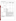#### **Parameter Sample Information Botulinum Toxin Concentration (mg/L) Positive Results Out of Total Replicates**  Type A 0.5 1/3 2  $0/3$   $1$  $\frac{3}{3}$   $\frac{3}{3}$ 25 3/3 **Qualitative** contaminant positive results Contaminantonly PT samples Type B  $0.3$  0/3  $0.4$  0/3 2  $1/3$   $1/3$ 4 1/3 20  $0/3$ 200 0/3 1,000 0/3 Interferent  $PT$  samples<sup>(a)</sup> 230 mg/L Ca 230 mg/L Ca  $5^{(a)}$  3/3 2.5 mg/L humic acid 2.5 mg/L numic acid  $5^{(a)}$   $5^{(a)}$  3/3  $DW$  samples $^{(a)}$ Concentrated CA  $5^{(a)}$   $3/3$ Concentrated NY  $5^{(a)}$  3/3 Unconcentrated DW  $4<sup>(b)</sup>$  2/24 Cross-reactivity  $\frac{5 \text{ mg/L}}{1 \text{ kg/m}^3}$ Lipopolysaccharide unspiked  $1/3$ False positives No false positives resulted from the analysis of the interferent or unspiked DW samples. There was one false positive replicate out of three when lipopolysaccharide was analyzed as a possible cross-reactive compound. False negatives No false negatives resulted from the analysis of the interferent and DW samples spiked with detectable levels of Type A botulinum toxin; however, the BADD™ test strips were not able to reproducibly detect Type B botulinum toxin when spiked into DW or interferent samples at 4 mg/L or DI water up to 1,000 mg/L. Consistency 84% of the results were obtained in replicate sets in which all the individual replicates had the same result, whether positive or negative. Lowest detectable concentration  $\left\{\begin{array}{c} 5 \text{ mg/L (Type A), Type B was not reproducibly detectable. (vendor-stated$ LOD for botulinum toxin [non-specific]: 0.4 mg/L)

(a) Type A botulinum toxin.<br>(b) Type B botulinum toxin

Type B botulinum toxin.